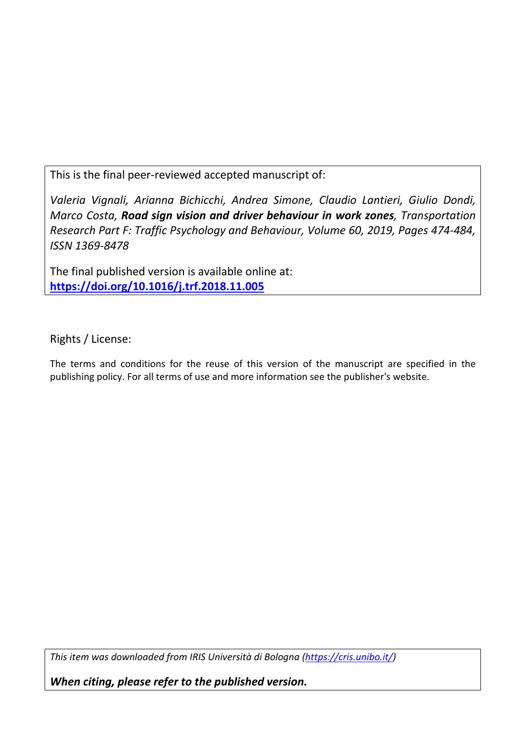This is the final peer-reviewed accepted manuscript of:

*Valeria Vignali, Arianna Bichicchi, Andrea Simone, Claudio Lantieri, Giulio Dondi, Marco Costa, Road sign vision and driver behaviour in work zones, Transportation Research Part F: Traffic Psychology and Behaviour, Volume 60, 2019, Pages 474-484, ISSN 1369-8478*

The final published version is available online at: **<https://doi.org/10.1016/j.trf.2018.11.005>**

Rights / License:

The terms and conditions for the reuse of this version of the manuscript are specified in the publishing policy. For all terms of use and more information see the publisher's website.

*This item was downloaded from IRIS Università di Bologna [\(https://cris.unibo.it/\)](https://cris.unibo.it/)*

*When citing, please refer to the published version.*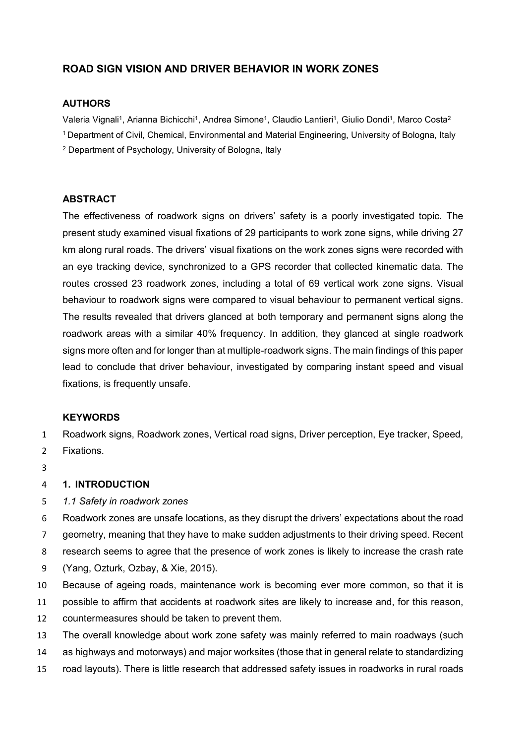# **ROAD SIGN VISION AND DRIVER BEHAVIOR IN WORK ZONES**

### **AUTHORS**

Valeria Vignali<sup>1</sup>, Arianna Bichicchi<sup>1</sup>, Andrea Simone<sup>1</sup>, Claudio Lantieri<sup>1</sup>, Giulio Dondi<sup>1</sup>, Marco Costa<sup>2</sup> 1 Department of Civil, Chemical, Environmental and Material Engineering, University of Bologna, Italy

<sup>2</sup> Department of Psychology, University of Bologna, Italy

### **ABSTRACT**

The effectiveness of roadwork signs on drivers' safety is a poorly investigated topic. The present study examined visual fixations of 29 participants to work zone signs, while driving 27 km along rural roads. The drivers' visual fixations on the work zones signs were recorded with an eye tracking device, synchronized to a GPS recorder that collected kinematic data. The routes crossed 23 roadwork zones, including a total of 69 vertical work zone signs. Visual behaviour to roadwork signs were compared to visual behaviour to permanent vertical signs. The results revealed that drivers glanced at both temporary and permanent signs along the roadwork areas with a similar 40% frequency. In addition, they glanced at single roadwork signs more often and for longer than at multiple-roadwork signs. The main findings of this paper lead to conclude that driver behaviour, investigated by comparing instant speed and visual fixations, is frequently unsafe.

#### **KEYWORDS**

1 Roadwork signs, Roadwork zones, Vertical road signs, Driver perception, Eye tracker, Speed, 2 Fixations.

- 
- 3

#### 4 **1. INTRODUCTION**

5 *1.1 Safety in roadwork zones*

 Roadwork zones are unsafe locations, as they disrupt the drivers' expectations about the road geometry, meaning that they have to make sudden adjustments to their driving speed. Recent research seems to agree that the presence of work zones is likely to increase the crash rate (Yang, Ozturk, Ozbay, & Xie, 2015).

- 10 Because of ageing roads, maintenance work is becoming ever more common, so that it is
- 11 possible to affirm that accidents at roadwork sites are likely to increase and, for this reason,
- 12 countermeasures should be taken to prevent them.
- 13 The overall knowledge about work zone safety was mainly referred to main roadways (such
- 14 as highways and motorways) and major worksites (those that in general relate to standardizing
- 15 road layouts). There is little research that addressed safety issues in roadworks in rural roads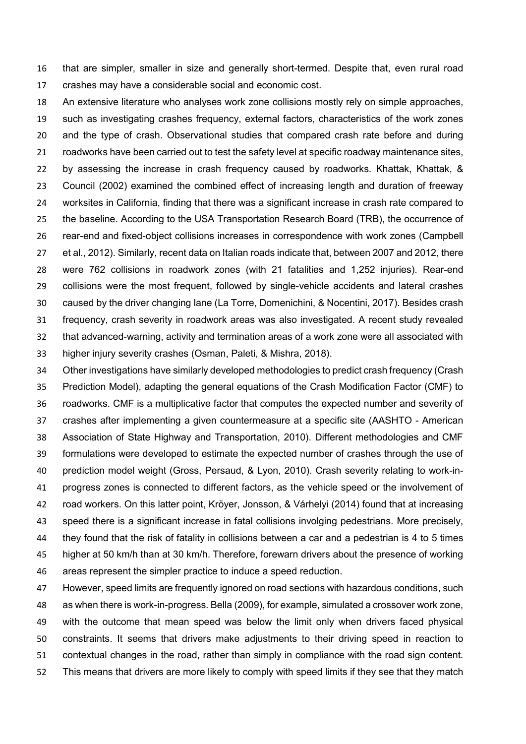that are simpler, smaller in size and generally short-termed. Despite that, even rural road crashes may have a considerable social and economic cost.

 An extensive literature who analyses work zone collisions mostly rely on simple approaches, such as investigating crashes frequency, external factors, characteristics of the work zones and the type of crash. Observational studies that compared crash rate before and during roadworks have been carried out to test the safety level at specific roadway maintenance sites, by assessing the increase in crash frequency caused by roadworks. Khattak, Khattak, & Council (2002) examined the combined effect of increasing length and duration of freeway worksites in California, finding that there was a significant increase in crash rate compared to the baseline. According to the USA Transportation Research Board (TRB), the occurrence of rear-end and fixed-object collisions increases in correspondence with work zones (Campbell et al., 2012). Similarly, recent data on Italian roads indicate that, between 2007 and 2012, there were 762 collisions in roadwork zones (with 21 fatalities and 1,252 injuries). Rear-end collisions were the most frequent, followed by single-vehicle accidents and lateral crashes caused by the driver changing lane (La Torre, Domenichini, & Nocentini, 2017). Besides crash frequency, crash severity in roadwork areas was also investigated. A recent study revealed that advanced-warning, activity and termination areas of a work zone were all associated with higher injury severity crashes (Osman, Paleti, & Mishra, 2018).

 Other investigations have similarly developed methodologies to predict crash frequency (Crash Prediction Model), adapting the general equations of the Crash Modification Factor (CMF) to roadworks. CMF is a multiplicative factor that computes the expected number and severity of crashes after implementing a given countermeasure at a specific site (AASHTO - American Association of State Highway and Transportation, 2010). Different methodologies and CMF formulations were developed to estimate the expected number of crashes through the use of prediction model weight (Gross, Persaud, & Lyon, 2010). Crash severity relating to work-in- progress zones is connected to different factors, as the vehicle speed or the involvement of road workers. On this latter point, Kröyer, Jonsson, & Várhelyi (2014) found that at increasing speed there is a significant increase in fatal collisions involging pedestrians. More precisely, they found that the risk of fatality in collisions between a car and a pedestrian is 4 to 5 times 45 higher at 50 km/h than at 30 km/h. Therefore, forewarn drivers about the presence of working areas represent the simpler practice to induce a speed reduction.

 However, speed limits are frequently ignored on road sections with hazardous conditions, such as when there is work-in-progress. Bella (2009), for example, simulated a crossover work zone, with the outcome that mean speed was below the limit only when drivers faced physical constraints. It seems that drivers make adjustments to their driving speed in reaction to contextual changes in the road, rather than simply in compliance with the road sign content. This means that drivers are more likely to comply with speed limits if they see that they match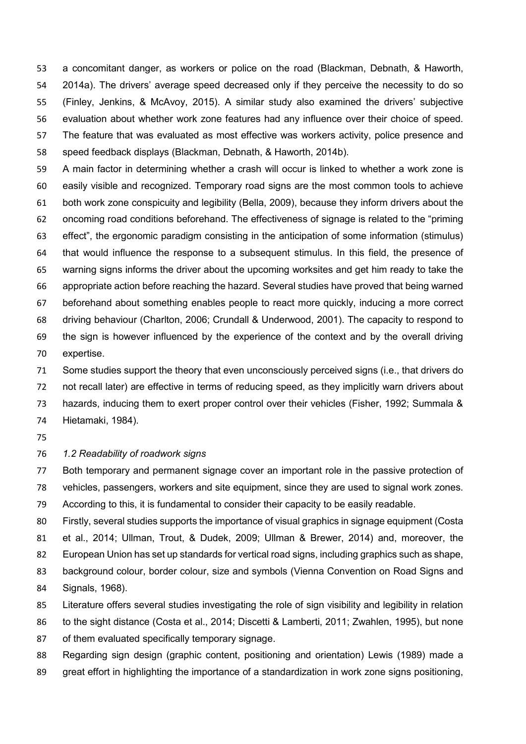a concomitant danger, as workers or police on the road (Blackman, Debnath, & Haworth, 2014a). The drivers' average speed decreased only if they perceive the necessity to do so (Finley, Jenkins, & McAvoy, 2015). A similar study also examined the drivers' subjective evaluation about whether work zone features had any influence over their choice of speed. The feature that was evaluated as most effective was workers activity, police presence and speed feedback displays (Blackman, Debnath, & Haworth, 2014b).

 A main factor in determining whether a crash will occur is linked to whether a work zone is easily visible and recognized. Temporary road signs are the most common tools to achieve both work zone conspicuity and legibility (Bella, 2009), because they inform drivers about the oncoming road conditions beforehand. The effectiveness of signage is related to the "priming effect", the ergonomic paradigm consisting in the anticipation of some information (stimulus) that would influence the response to a subsequent stimulus. In this field, the presence of warning signs informs the driver about the upcoming worksites and get him ready to take the appropriate action before reaching the hazard. Several studies have proved that being warned beforehand about something enables people to react more quickly, inducing a more correct driving behaviour (Charlton, 2006; Crundall & Underwood, 2001). The capacity to respond to the sign is however influenced by the experience of the context and by the overall driving expertise.

 Some studies support the theory that even unconsciously perceived signs (i.e., that drivers do not recall later) are effective in terms of reducing speed, as they implicitly warn drivers about hazards, inducing them to exert proper control over their vehicles (Fisher, 1992; Summala & Hietamaki, 1984).

#### *1.2 Readability of roadwork signs*

 Both temporary and permanent signage cover an important role in the passive protection of vehicles, passengers, workers and site equipment, since they are used to signal work zones.

According to this, it is fundamental to consider their capacity to be easily readable.

 Firstly, several studies supports the importance of visual graphics in signage equipment (Costa et al., 2014; Ullman, Trout, & Dudek, 2009; Ullman & Brewer, 2014) and, moreover, the European Union has set up standards for vertical road signs, including graphics such as shape, background colour, border colour, size and symbols (Vienna Convention on Road Signs and

- Signals, 1968).
- Literature offers several studies investigating the role of sign visibility and legibility in relation
- to the sight distance (Costa et al., 2014; Discetti & Lamberti, 2011; Zwahlen, 1995), but none
- of them evaluated specifically temporary signage.
- Regarding sign design (graphic content, positioning and orientation) Lewis (1989) made a
- great effort in highlighting the importance of a standardization in work zone signs positioning,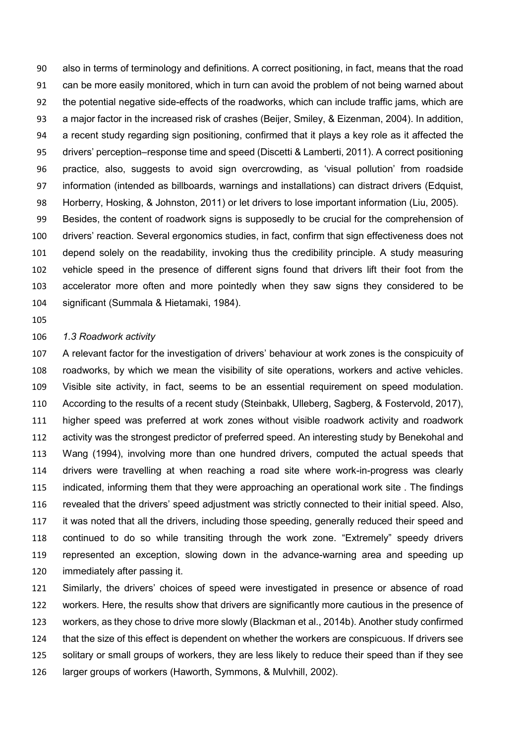also in terms of terminology and definitions. A correct positioning, in fact, means that the road can be more easily monitored, which in turn can avoid the problem of not being warned about the potential negative side-effects of the roadworks, which can include traffic jams, which are a major factor in the increased risk of crashes (Beijer, Smiley, & Eizenman, 2004). In addition, a recent study regarding sign positioning, confirmed that it plays a key role as it affected the drivers' perception–response time and speed (Discetti & Lamberti, 2011). A correct positioning practice, also, suggests to avoid sign overcrowding, as 'visual pollution' from roadside information (intended as billboards, warnings and installations) can distract drivers (Edquist, Horberry, Hosking, & Johnston, 2011) or let drivers to lose important information (Liu, 2005). Besides, the content of roadwork signs is supposedly to be crucial for the comprehension of drivers' reaction. Several ergonomics studies, in fact, confirm that sign effectiveness does not depend solely on the readability, invoking thus the credibility principle. A study measuring

 vehicle speed in the presence of different signs found that drivers lift their foot from the accelerator more often and more pointedly when they saw signs they considered to be significant (Summala & Hietamaki, 1984).

#### *1.3 Roadwork activity*

 A relevant factor for the investigation of drivers' behaviour at work zones is the conspicuity of roadworks, by which we mean the visibility of site operations, workers and active vehicles. Visible site activity, in fact, seems to be an essential requirement on speed modulation. According to the results of a recent study (Steinbakk, Ulleberg, Sagberg, & Fostervold, 2017), higher speed was preferred at work zones without visible roadwork activity and roadwork activity was the strongest predictor of preferred speed. An interesting study by Benekohal and Wang (1994), involving more than one hundred drivers, computed the actual speeds that drivers were travelling at when reaching a road site where work-in-progress was clearly indicated, informing them that they were approaching an operational work site . The findings revealed that the drivers' speed adjustment was strictly connected to their initial speed. Also, it was noted that all the drivers, including those speeding, generally reduced their speed and continued to do so while transiting through the work zone. "Extremely" speedy drivers represented an exception, slowing down in the advance-warning area and speeding up immediately after passing it.

 Similarly, the drivers' choices of speed were investigated in presence or absence of road workers. Here, the results show that drivers are significantly more cautious in the presence of workers, as they chose to drive more slowly (Blackman et al., 2014b). Another study confirmed that the size of this effect is dependent on whether the workers are conspicuous. If drivers see solitary or small groups of workers, they are less likely to reduce their speed than if they see larger groups of workers (Haworth, Symmons, & Mulvhill, 2002).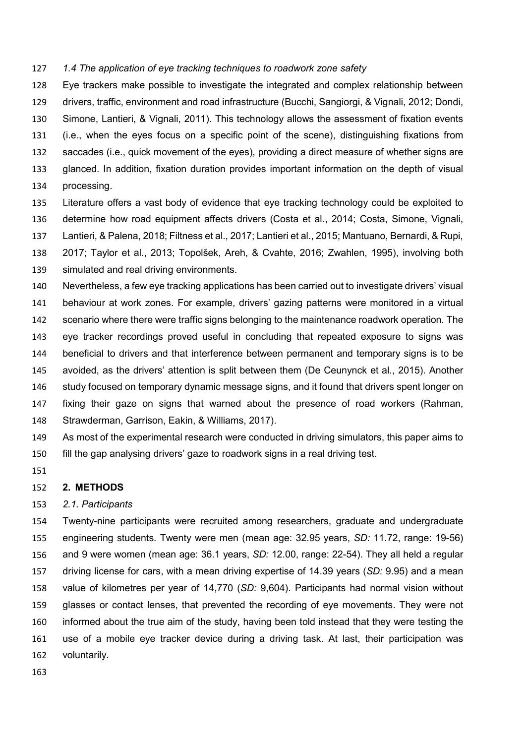#### *1.4 The application of eye tracking techniques to roadwork zone safety*

 Eye trackers make possible to investigate the integrated and complex relationship between drivers, traffic, environment and road infrastructure (Bucchi, Sangiorgi, & Vignali, 2012; Dondi, Simone, Lantieri, & Vignali, 2011). This technology allows the assessment of fixation events (i.e., when the eyes focus on a specific point of the scene), distinguishing fixations from saccades (i.e., quick movement of the eyes), providing a direct measure of whether signs are glanced. In addition, fixation duration provides important information on the depth of visual processing.

- Literature offers a vast body of evidence that eye tracking technology could be exploited to determine how road equipment affects drivers (Costa et al., 2014; Costa, Simone, Vignali, Lantieri, & Palena, 2018; Filtness et al., 2017; Lantieri et al., 2015; Mantuano, Bernardi, & Rupi, 2017; Taylor et al., 2013; Topolšek, Areh, & Cvahte, 2016; Zwahlen, 1995), involving both
- simulated and real driving environments.

 Nevertheless, a few eye tracking applications has been carried out to investigate drivers' visual behaviour at work zones. For example, drivers' gazing patterns were monitored in a virtual scenario where there were traffic signs belonging to the maintenance roadwork operation. The eye tracker recordings proved useful in concluding that repeated exposure to signs was beneficial to drivers and that interference between permanent and temporary signs is to be avoided, as the drivers' attention is split between them (De Ceunynck et al., 2015). Another 146 study focused on temporary dynamic message signs, and it found that drivers spent longer on fixing their gaze on signs that warned about the presence of road workers (Rahman, Strawderman, Garrison, Eakin, & Williams, 2017).

- As most of the experimental research were conducted in driving simulators, this paper aims to fill the gap analysing drivers' gaze to roadwork signs in a real driving test.
- 

#### **2. METHODS**

#### *2.1. Participants*

 Twenty-nine participants were recruited among researchers, graduate and undergraduate engineering students. Twenty were men (mean age: 32.95 years, *SD:* 11.72, range: 19-56) and 9 were women (mean age: 36.1 years, *SD:* 12.00, range: 22-54). They all held a regular driving license for cars, with a mean driving expertise of 14.39 years (*SD:* 9.95) and a mean value of kilometres per year of 14,770 (*SD:* 9,604). Participants had normal vision without glasses or contact lenses, that prevented the recording of eye movements. They were not informed about the true aim of the study, having been told instead that they were testing the use of a mobile eye tracker device during a driving task. At last, their participation was voluntarily.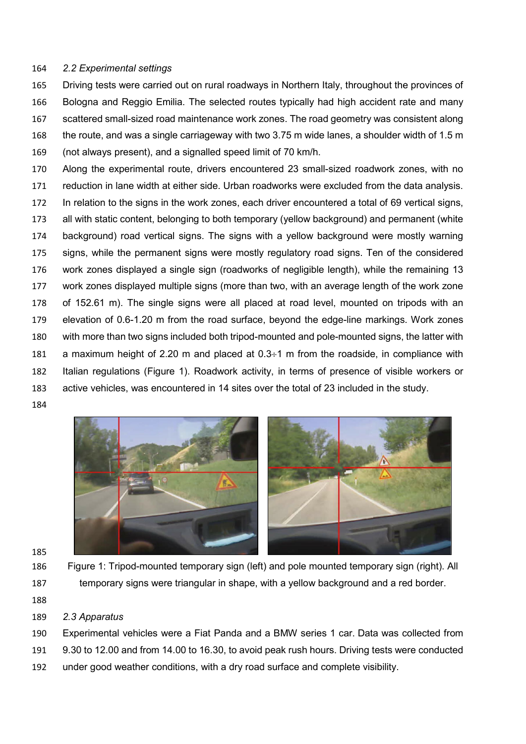## *2.2 Experimental settings*

 Driving tests were carried out on rural roadways in Northern Italy, throughout the provinces of Bologna and Reggio Emilia. The selected routes typically had high accident rate and many scattered small-sized road maintenance work zones. The road geometry was consistent along the route, and was a single carriageway with two 3.75 m wide lanes, a shoulder width of 1.5 m (not always present), and a signalled speed limit of 70 km/h.

 Along the experimental route, drivers encountered 23 small-sized roadwork zones, with no reduction in lane width at either side. Urban roadworks were excluded from the data analysis. In relation to the signs in the work zones, each driver encountered a total of 69 vertical signs, all with static content, belonging to both temporary (yellow background) and permanent (white background) road vertical signs. The signs with a yellow background were mostly warning signs, while the permanent signs were mostly regulatory road signs. Ten of the considered work zones displayed a single sign (roadworks of negligible length), while the remaining 13 work zones displayed multiple signs (more than two, with an average length of the work zone of 152.61 m). The single signs were all placed at road level, mounted on tripods with an elevation of 0.6-1.20 m from the road surface, beyond the edge-line markings. Work zones with more than two signs included both tripod-mounted and pole-mounted signs, the latter with 181 a maximum height of 2.20 m and placed at  $0.3\div1$  m from the roadside, in compliance with Italian regulations (Figure 1). Roadwork activity, in terms of presence of visible workers or active vehicles, was encountered in 14 sites over the total of 23 included in the study.





- 
- 

 Figure 1: Tripod-mounted temporary sign (left) and pole mounted temporary sign (right). All temporary signs were triangular in shape, with a yellow background and a red border.

- 
- *2.3 Apparatus*

 Experimental vehicles were a Fiat Panda and a BMW series 1 car. Data was collected from 9.30 to 12.00 and from 14.00 to 16.30, to avoid peak rush hours. Driving tests were conducted under good weather conditions, with a dry road surface and complete visibility.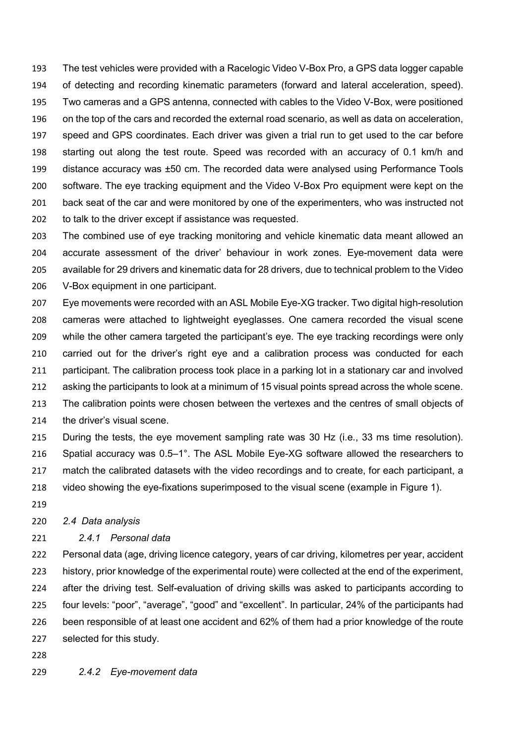The test vehicles were provided with a Racelogic Video V-Box Pro, a GPS data logger capable of detecting and recording kinematic parameters (forward and lateral acceleration, speed). Two cameras and a GPS antenna, connected with cables to the Video V-Box, were positioned on the top of the cars and recorded the external road scenario, as well as data on acceleration, speed and GPS coordinates. Each driver was given a trial run to get used to the car before starting out along the test route. Speed was recorded with an accuracy of 0.1 km/h and distance accuracy was ±50 cm. The recorded data were analysed using Performance Tools software. The eye tracking equipment and the Video V-Box Pro equipment were kept on the 201 back seat of the car and were monitored by one of the experimenters, who was instructed not to talk to the driver except if assistance was requested.

 The combined use of eye tracking monitoring and vehicle kinematic data meant allowed an accurate assessment of the driver' behaviour in work zones. Eye-movement data were available for 29 drivers and kinematic data for 28 drivers, due to technical problem to the Video V-Box equipment in one participant.

 Eye movements were recorded with an ASL Mobile Eye-XG tracker. Two digital high-resolution cameras were attached to lightweight eyeglasses. One camera recorded the visual scene while the other camera targeted the participant's eye. The eye tracking recordings were only carried out for the driver's right eye and a calibration process was conducted for each participant. The calibration process took place in a parking lot in a stationary car and involved asking the participants to look at a minimum of 15 visual points spread across the whole scene. The calibration points were chosen between the vertexes and the centres of small objects of the driver's visual scene.

 During the tests, the eye movement sampling rate was 30 Hz (i.e., 33 ms time resolution). Spatial accuracy was 0.5–1°. The ASL Mobile Eye-XG software allowed the researchers to 217 match the calibrated datasets with the video recordings and to create, for each participant, a video showing the eye-fixations superimposed to the visual scene (example in Figure 1).

#### *2.4 Data analysis*

### *2.4.1 Personal data*

 Personal data (age, driving licence category, years of car driving, kilometres per year, accident history, prior knowledge of the experimental route) were collected at the end of the experiment, after the driving test. Self-evaluation of driving skills was asked to participants according to four levels: "poor", "average", "good" and "excellent". In particular, 24% of the participants had been responsible of at least one accident and 62% of them had a prior knowledge of the route selected for this study.

- 
- *2.4.2 Eye-movement data*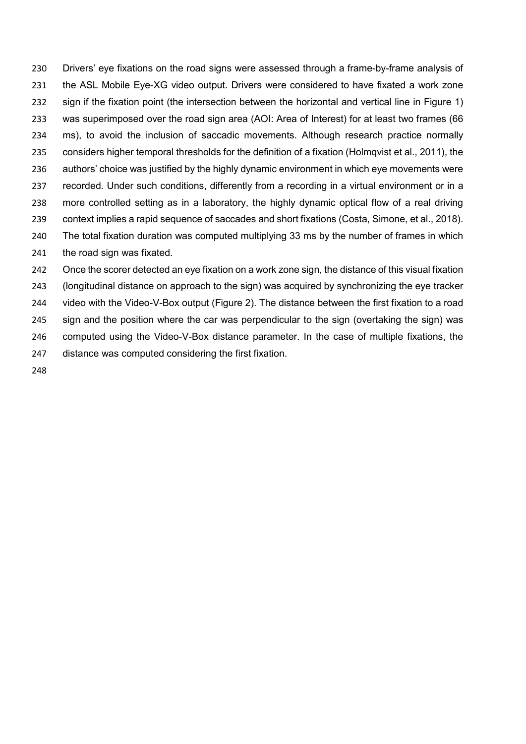Drivers' eye fixations on the road signs were assessed through a frame-by-frame analysis of the ASL Mobile Eye-XG video output. Drivers were considered to have fixated a work zone sign if the fixation point (the intersection between the horizontal and vertical line in Figure 1) was superimposed over the road sign area (AOI: Area of Interest) for at least two frames (66 ms), to avoid the inclusion of saccadic movements. Although research practice normally considers higher temporal thresholds for the definition of a fixation (Holmqvist et al., 2011), the authors' choice was justified by the highly dynamic environment in which eye movements were 237 recorded. Under such conditions, differently from a recording in a virtual environment or in a more controlled setting as in a laboratory, the highly dynamic optical flow of a real driving context implies a rapid sequence of saccades and short fixations (Costa, Simone, et al., 2018). The total fixation duration was computed multiplying 33 ms by the number of frames in which the road sign was fixated.

 Once the scorer detected an eye fixation on a work zone sign, the distance of this visual fixation (longitudinal distance on approach to the sign) was acquired by synchronizing the eye tracker video with the Video-V-Box output (Figure 2). The distance between the first fixation to a road sign and the position where the car was perpendicular to the sign (overtaking the sign) was computed using the Video-V-Box distance parameter. In the case of multiple fixations, the distance was computed considering the first fixation.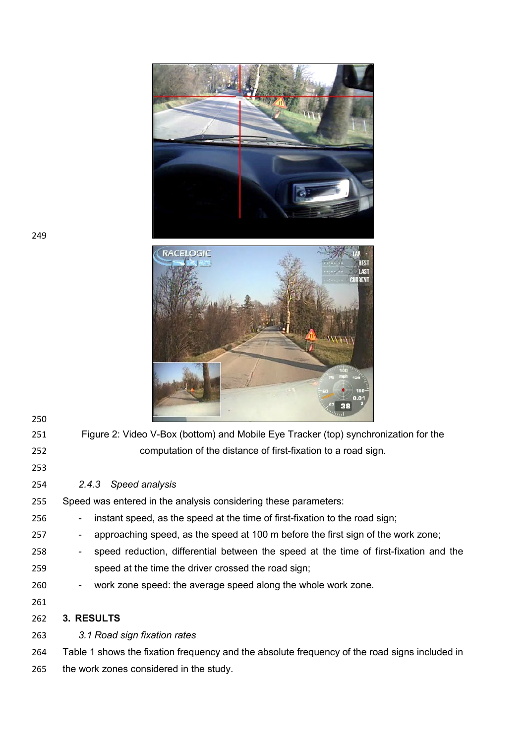



| 250 |                                                                                                         |
|-----|---------------------------------------------------------------------------------------------------------|
| 251 | Figure 2: Video V-Box (bottom) and Mobile Eye Tracker (top) synchronization for the                     |
| 252 | computation of the distance of first-fixation to a road sign.                                           |
| 253 |                                                                                                         |
| 254 | Speed analysis<br>2.4.3                                                                                 |
| 255 | Speed was entered in the analysis considering these parameters:                                         |
| 256 | instant speed, as the speed at the time of first-fixation to the road sign;<br>$\blacksquare$           |
| 257 | approaching speed, as the speed at 100 m before the first sign of the work zone;<br>$\blacksquare$      |
| 258 | speed reduction, differential between the speed at the time of first-fixation and the<br>$\blacksquare$ |
| 259 | speed at the time the driver crossed the road sign;                                                     |
| 260 | work zone speed: the average speed along the whole work zone.<br>$\blacksquare$                         |
| 261 |                                                                                                         |
| 262 | 3. RESULTS                                                                                              |
| 263 | 3.1 Road sign fixation rates                                                                            |
| 264 | Table 1 shows the fixation frequency and the absolute frequency of the road signs included in           |

the work zones considered in the study.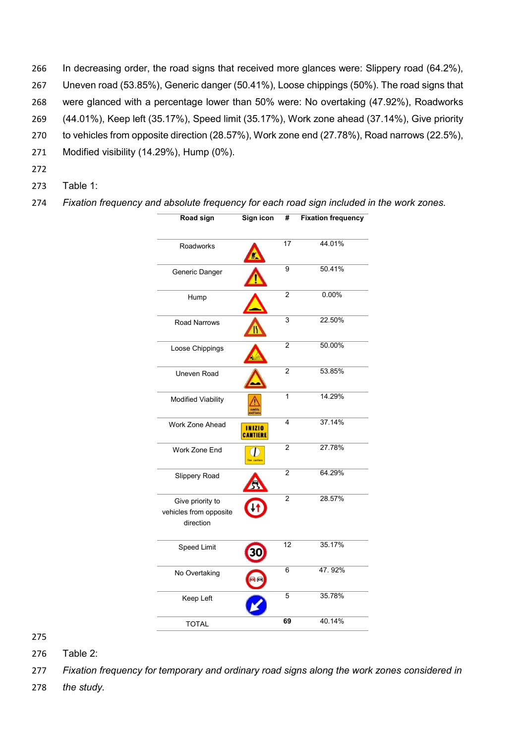- 266 In decreasing order, the road signs that received more glances were: Slippery road (64.2%), 267 Uneven road (53.85%), Generic danger (50.41%), Loose chippings (50%). The road signs that 268 were glanced with a percentage lower than 50% were: No overtaking (47.92%), Roadworks 269 (44.01%), Keep left (35.17%), Speed limit (35.17%), Work zone ahead (37.14%), Give priority 270 to vehicles from opposite direction (28.57%), Work zone end (27.78%), Road narrows (22.5%), 271 Modified visibility (14.29%), Hump (0%).
- 272
- 273 Table 1:

274 *Fixation frequency and absolute frequency for each road sign included in the work zones.* 

| Road sign                                               | Sign icon                        | #               | <b>Fixation frequency</b> |
|---------------------------------------------------------|----------------------------------|-----------------|---------------------------|
| Roadworks                                               |                                  | 17              | 44.01%                    |
| Generic Danger                                          |                                  | 9               | 50.41%                    |
| Hump                                                    |                                  | $\overline{2}$  | $0.00\%$                  |
| Road Narrows                                            | ĸ                                | 3               | 22.50%                    |
| Loose Chippings                                         |                                  | $\overline{2}$  | 50.00%                    |
| Uneven Road                                             |                                  | $\overline{c}$  | 53.85%                    |
| <b>Modified Viability</b>                               | Militi                           | 1               | 14.29%                    |
| Work Zone Ahead                                         | <b>INIZIO</b><br><b>CANTIERE</b> | 4               | 37.14%                    |
| Work Zone End                                           | fine cantier                     | $\overline{2}$  | 27.78%                    |
| Slippery Road                                           |                                  | $\overline{c}$  | 64.29%                    |
| Give priority to<br>vehicles from opposite<br>direction |                                  | $\overline{2}$  | 28.57%                    |
| Speed Limit                                             |                                  | $\overline{12}$ | 35.17%                    |
| No Overtaking                                           |                                  | 6               | 47.92%                    |
| Keep Left                                               |                                  | 5               | 35.78%                    |
| <b>TOTAL</b>                                            |                                  | 69              | 40.14%                    |

275

276 Table 2:

278 *the study.*

<sup>277</sup> *Fixation frequency for temporary and ordinary road signs along the work zones considered in*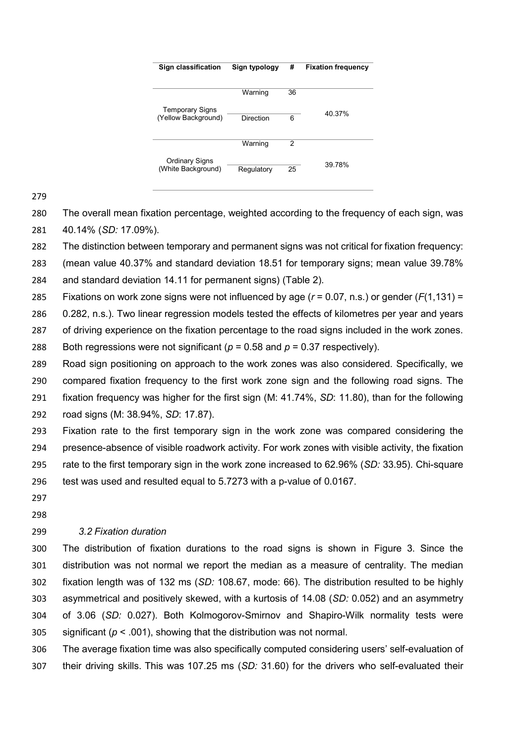| Sign classification                           | Sign typology | #  | <b>Fixation frequency</b> |
|-----------------------------------------------|---------------|----|---------------------------|
|                                               | Warning       | 36 |                           |
| <b>Temporary Signs</b><br>(Yellow Background) | Direction     | 6  | 40.37%                    |
|                                               | Warning       | 2  |                           |
| Ordinary Signs<br>(White Background)          | Regulatory    | 25 | 39 78%                    |

 The overall mean fixation percentage, weighted according to the frequency of each sign, was 40.14% (*SD:* 17.09%).

The distinction between temporary and permanent signs was not critical for fixation frequency:

 (mean value 40.37% and standard deviation 18.51 for temporary signs; mean value 39.78% and standard deviation 14.11 for permanent signs) (Table 2).

Fixations on work zone signs were not influenced by age (*r* = 0.07, n.s.) or gender (*F*(1,131) =

0.282, n.s.). Two linear regression models tested the effects of kilometres per year and years

of driving experience on the fixation percentage to the road signs included in the work zones.

288 Both regressions were not significant ( $p = 0.58$  and  $p = 0.37$  respectively).

 Road sign positioning on approach to the work zones was also considered. Specifically, we compared fixation frequency to the first work zone sign and the following road signs. The fixation frequency was higher for the first sign (M: 41.74%, *SD*: 11.80), than for the following road signs (M: 38.94%, *SD*: 17.87).

 Fixation rate to the first temporary sign in the work zone was compared considering the presence-absence of visible roadwork activity. For work zones with visible activity, the fixation rate to the first temporary sign in the work zone increased to 62.96% (*SD:* 33.95). Chi-square test was used and resulted equal to 5.7273 with a p-value of 0.0167.

 

# *3.2 Fixation duration*

 The distribution of fixation durations to the road signs is shown in Figure 3. Since the distribution was not normal we report the median as a measure of centrality. The median fixation length was of 132 ms (*SD:* 108.67, mode: 66). The distribution resulted to be highly asymmetrical and positively skewed, with a kurtosis of 14.08 (*SD:* 0.052) and an asymmetry of 3.06 (*SD:* 0.027). Both Kolmogorov-Smirnov and Shapiro-Wilk normality tests were 305 significant ( $p < .001$ ), showing that the distribution was not normal.

 The average fixation time was also specifically computed considering users' self-evaluation of their driving skills. This was 107.25 ms (*SD:* 31.60) for the drivers who self-evaluated their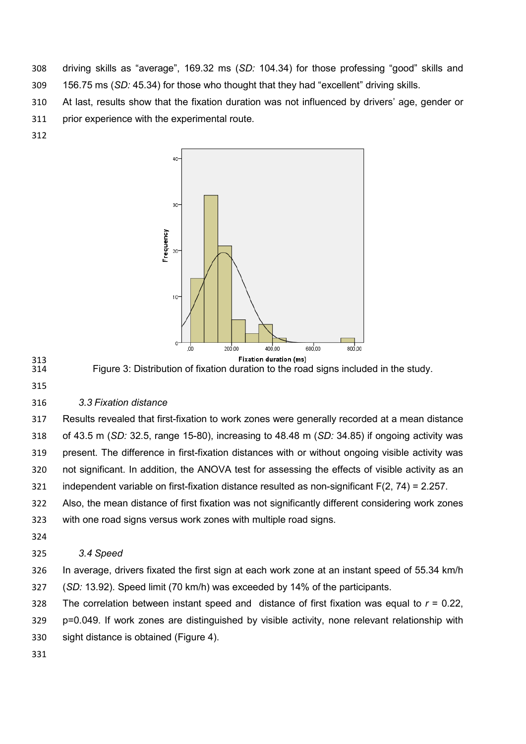- driving skills as "average", 169.32 ms (*SD:* 104.34) for those professing "good" skills and 156.75 ms (*SD:* 45.34) for those who thought that they had "excellent" driving skills.
- At last, results show that the fixation duration was not influenced by drivers' age, gender or prior experience with the experimental route.
- 



- 313<br>314 Figure 3: Distribution of fixation duration to the road signs included in the study.
- 

# *3.3 Fixation distance*

 Results revealed that first-fixation to work zones were generally recorded at a mean distance of 43.5 m (*SD:* 32.5, range 15-80), increasing to 48.48 m (*SD:* 34.85) if ongoing activity was present. The difference in first-fixation distances with or without ongoing visible activity was not significant. In addition, the ANOVA test for assessing the effects of visible activity as an independent variable on first-fixation distance resulted as non-significant F(2, 74) = 2.257.

 Also, the mean distance of first fixation was not significantly different considering work zones with one road signs versus work zones with multiple road signs.

# *3.4 Speed*

 In average, drivers fixated the first sign at each work zone at an instant speed of 55.34 km/h (*SD:* 13.92). Speed limit (70 km/h) was exceeded by 14% of the participants.

- The correlation between instant speed and distance of first fixation was equal to *r* = 0.22,
- p=0.049. If work zones are distinguished by visible activity, none relevant relationship with
- sight distance is obtained (Figure 4).
-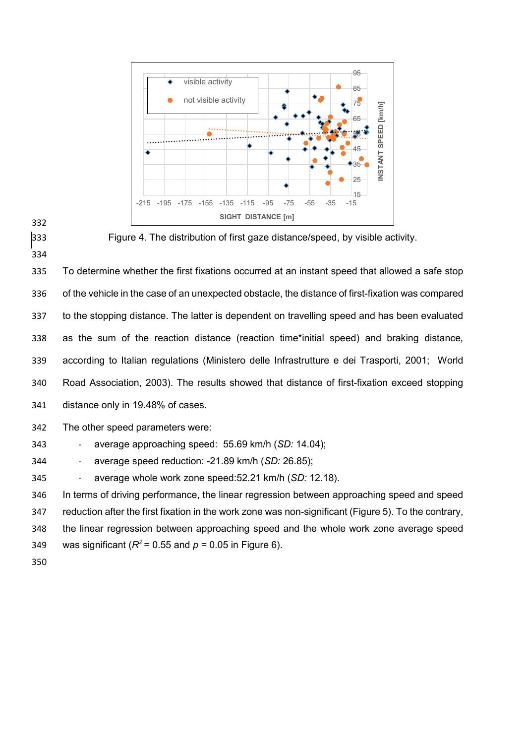



Figure 4. The distribution of first gaze distance/speed, by visible activity.

 To determine whether the first fixations occurred at an instant speed that allowed a safe stop of the vehicle in the case of an unexpected obstacle, the distance of first-fixation was compared to the stopping distance. The latter is dependent on travelling speed and has been evaluated as the sum of the reaction distance (reaction time\*initial speed) and braking distance, according to Italian regulations (Ministero delle Infrastrutture e dei Trasporti, 2001; World Road Association, 2003). The results showed that distance of first-fixation exceed stopping distance only in 19.48% of cases.

The other speed parameters were:

- average approaching speed: 55.69 km/h (*SD:* 14.04);

- average speed reduction: -21.89 km/h (*SD:* 26.85);

- average whole work zone speed:52.21 km/h (*SD:* 12.18).

 In terms of driving performance, the linear regression between approaching speed and speed reduction after the first fixation in the work zone was non-significant (Figure 5). To the contrary, the linear regression between approaching speed and the whole work zone average speed 349 was significant ( $R^2$  = 0.55 and  $p$  = 0.05 in Figure 6).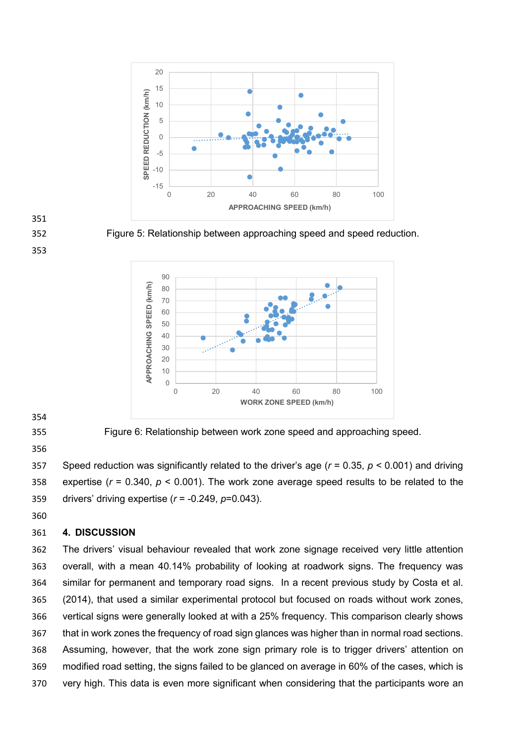



Figure 5: Relationship between approaching speed and speed reduction.



Figure 6: Relationship between work zone speed and approaching speed.

 Speed reduction was significantly related to the driver's age (*r* = 0.35, *p* < 0.001) and driving expertise (*r* = 0.340, *p* < 0.001). The work zone average speed results to be related to the drivers' driving expertise (*r* = -0.249, *p*=0.043).

## **4. DISCUSSION**

 The drivers' visual behaviour revealed that work zone signage received very little attention overall, with a mean 40.14% probability of looking at roadwork signs. The frequency was similar for permanent and temporary road signs. In a recent previous study by Costa et al. (2014), that used a similar experimental protocol but focused on roads without work zones, vertical signs were generally looked at with a 25% frequency. This comparison clearly shows that in work zones the frequency of road sign glances was higher than in normal road sections. Assuming, however, that the work zone sign primary role is to trigger drivers' attention on modified road setting, the signs failed to be glanced on average in 60% of the cases, which is very high. This data is even more significant when considering that the participants wore an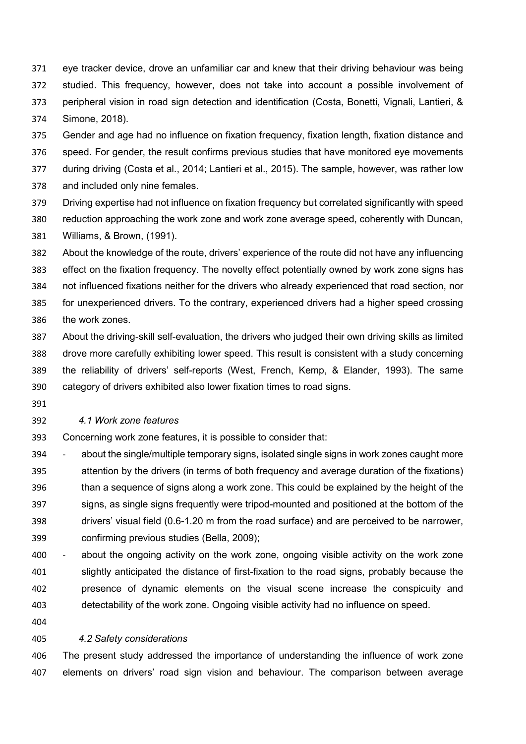eye tracker device, drove an unfamiliar car and knew that their driving behaviour was being studied. This frequency, however, does not take into account a possible involvement of peripheral vision in road sign detection and identification (Costa, Bonetti, Vignali, Lantieri, & Simone, 2018).

 Gender and age had no influence on fixation frequency, fixation length, fixation distance and speed. For gender, the result confirms previous studies that have monitored eye movements

during driving (Costa et al., 2014; Lantieri et al., 2015). The sample, however, was rather low

and included only nine females.

 Driving expertise had not influence on fixation frequency but correlated significantly with speed reduction approaching the work zone and work zone average speed, coherently with Duncan, Williams, & Brown, (1991).

 About the knowledge of the route, drivers' experience of the route did not have any influencing effect on the fixation frequency. The novelty effect potentially owned by work zone signs has not influenced fixations neither for the drivers who already experienced that road section, nor for unexperienced drivers. To the contrary, experienced drivers had a higher speed crossing the work zones.

 About the driving-skill self-evaluation, the drivers who judged their own driving skills as limited drove more carefully exhibiting lower speed. This result is consistent with a study concerning the reliability of drivers' self-reports (West, French, Kemp, & Elander, 1993). The same category of drivers exhibited also lower fixation times to road signs.

## *4.1 Work zone features*

Concerning work zone features, it is possible to consider that:

 - about the single/multiple temporary signs, isolated single signs in work zones caught more attention by the drivers (in terms of both frequency and average duration of the fixations) than a sequence of signs along a work zone. This could be explained by the height of the signs, as single signs frequently were tripod-mounted and positioned at the bottom of the drivers' visual field (0.6-1.20 m from the road surface) and are perceived to be narrower, confirming previous studies (Bella, 2009);

 - about the ongoing activity on the work zone, ongoing visible activity on the work zone slightly anticipated the distance of first-fixation to the road signs, probably because the presence of dynamic elements on the visual scene increase the conspicuity and detectability of the work zone. Ongoing visible activity had no influence on speed.

## *4.2 Safety considerations*

 The present study addressed the importance of understanding the influence of work zone elements on drivers' road sign vision and behaviour. The comparison between average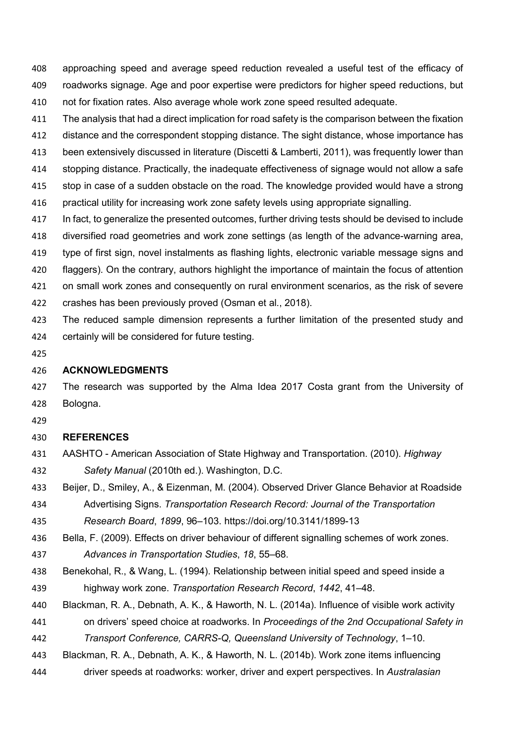approaching speed and average speed reduction revealed a useful test of the efficacy of roadworks signage. Age and poor expertise were predictors for higher speed reductions, but not for fixation rates. Also average whole work zone speed resulted adequate.

The analysis that had a direct implication for road safety is the comparison between the fixation

412 distance and the correspondent stopping distance. The sight distance, whose importance has

been extensively discussed in literature (Discetti & Lamberti, 2011), was frequently lower than

stopping distance. Practically, the inadequate effectiveness of signage would not allow a safe

- stop in case of a sudden obstacle on the road. The knowledge provided would have a strong
- practical utility for increasing work zone safety levels using appropriate signalling.

In fact, to generalize the presented outcomes, further driving tests should be devised to include

 diversified road geometries and work zone settings (as length of the advance-warning area, type of first sign, novel instalments as flashing lights, electronic variable message signs and

flaggers). On the contrary, authors highlight the importance of maintain the focus of attention

on small work zones and consequently on rural environment scenarios, as the risk of severe

crashes has been previously proved (Osman et al., 2018).

 The reduced sample dimension represents a further limitation of the presented study and certainly will be considered for future testing.

## **ACKNOWLEDGMENTS**

427 The research was supported by the Alma Idea 2017 Costa grant from the University of Bologna.

# **REFERENCES**

- AASHTO American Association of State Highway and Transportation. (2010). *Highway Safety Manual* (2010th ed.). Washington, D.C.
- Beijer, D., Smiley, A., & Eizenman, M. (2004). Observed Driver Glance Behavior at Roadside Advertising Signs. *Transportation Research Record: Journal of the Transportation*

*Research Board*, *1899*, 96–103. https://doi.org/10.3141/1899-13

Bella, F. (2009). Effects on driver behaviour of different signalling schemes of work zones.

*Advances in Transportation Studies*, *18*, 55–68.

- Benekohal, R., & Wang, L. (1994). Relationship between initial speed and speed inside a
- highway work zone. *Transportation Research Record*, *1442*, 41–48.
- Blackman, R. A., Debnath, A. K., & Haworth, N. L. (2014a). Influence of visible work activity
- on drivers' speed choice at roadworks. In *Proceedings of the 2nd Occupational Safety in*

*Transport Conference, CARRS-Q, Queensland University of Technology*, 1–10.

- Blackman, R. A., Debnath, A. K., & Haworth, N. L. (2014b). Work zone items influencing
- driver speeds at roadworks: worker, driver and expert perspectives. In *Australasian*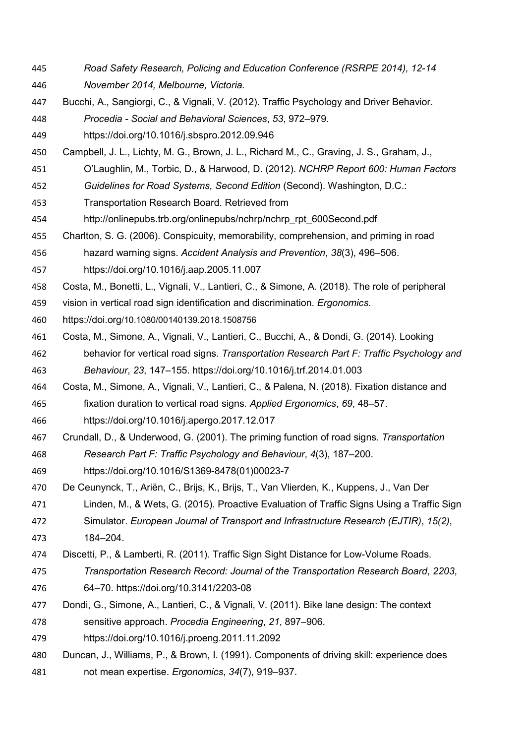- *Road Safety Research, Policing and Education Conference (RSRPE 2014), 12-14 November 2014, Melbourne, Victoria.*
- Bucchi, A., Sangiorgi, C., & Vignali, V. (2012). Traffic Psychology and Driver Behavior. *Procedia - Social and Behavioral Sciences*, *53*, 972–979.
- https://doi.org/10.1016/j.sbspro.2012.09.946
- Campbell, J. L., Lichty, M. G., Brown, J. L., Richard M., C., Graving, J. S., Graham, J.,
- O'Laughlin, M., Torbic, D., & Harwood, D. (2012). *NCHRP Report 600: Human Factors*
- *Guidelines for Road Systems, Second Edition* (Second). Washington, D.C.:
- Transportation Research Board. Retrieved from
- http://onlinepubs.trb.org/onlinepubs/nchrp/nchrp\_rpt\_600Second.pdf
- Charlton, S. G. (2006). Conspicuity, memorability, comprehension, and priming in road
- hazard warning signs. *Accident Analysis and Prevention*, *38*(3), 496–506.
- https://doi.org/10.1016/j.aap.2005.11.007
- Costa, M., Bonetti, L., Vignali, V., Lantieri, C., & Simone, A. (2018). The role of peripheral
- vision in vertical road sign identification and discrimination. *Ergonomics*.
- https://doi.org/10.1080/00140139.2018.1508756
- Costa, M., Simone, A., Vignali, V., Lantieri, C., Bucchi, A., & Dondi, G. (2014). Looking behavior for vertical road signs. *Transportation Research Part F: Traffic Psychology and*
- *Behaviour*, *23*, 147–155. https://doi.org/10.1016/j.trf.2014.01.003
- Costa, M., Simone, A., Vignali, V., Lantieri, C., & Palena, N. (2018). Fixation distance and fixation duration to vertical road signs. *Applied Ergonomics*, *69*, 48–57.
- https://doi.org/10.1016/j.apergo.2017.12.017
- Crundall, D., & Underwood, G. (2001). The priming function of road signs. *Transportation Research Part F: Traffic Psychology and Behaviour*, *4*(3), 187–200.
- https://doi.org/10.1016/S1369-8478(01)00023-7
- De Ceunynck, T., Ariën, C., Brijs, K., Brijs, T., Van Vlierden, K., Kuppens, J., Van Der
- Linden, M., & Wets, G. (2015). Proactive Evaluation of Traffic Signs Using a Traffic Sign
- Simulator. *European Journal of Transport and Infrastructure Research (EJTIR)*, *15(2)*, 184–204.
- Discetti, P., & Lamberti, R. (2011). Traffic Sign Sight Distance for Low-Volume Roads.
- *Transportation Research Record: Journal of the Transportation Research Board*, *2203*, 64–70. https://doi.org/10.3141/2203-08
- Dondi, G., Simone, A., Lantieri, C., & Vignali, V. (2011). Bike lane design: The context
- sensitive approach. *Procedia Engineering*, *21*, 897–906.
- https://doi.org/10.1016/j.proeng.2011.11.2092
- Duncan, J., Williams, P., & Brown, I. (1991). Components of driving skill: experience does not mean expertise. *Ergonomics*, *34*(7), 919–937.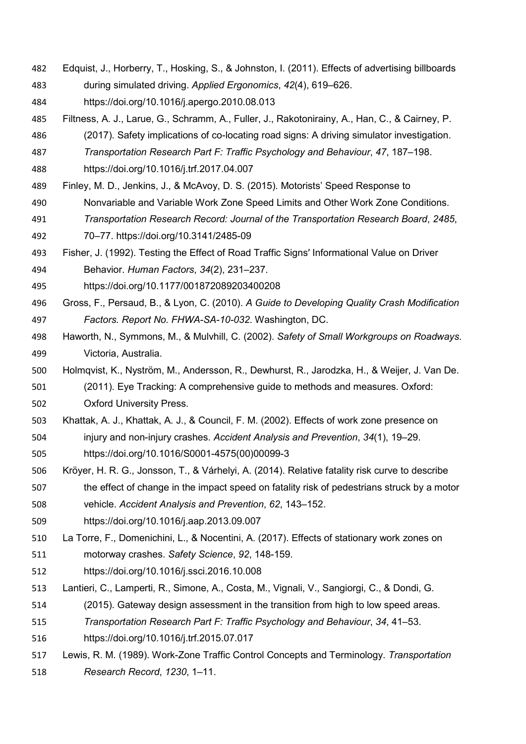- Edquist, J., Horberry, T., Hosking, S., & Johnston, I. (2011). Effects of advertising billboards
- during simulated driving. *Applied Ergonomics*, *42*(4), 619–626.
- https://doi.org/10.1016/j.apergo.2010.08.013
- Filtness, A. J., Larue, G., Schramm, A., Fuller, J., Rakotonirainy, A., Han, C., & Cairney, P.
- (2017). Safety implications of co-locating road signs: A driving simulator investigation.
- *Transportation Research Part F: Traffic Psychology and Behaviour*, *47*, 187–198.
- https://doi.org/10.1016/j.trf.2017.04.007
- Finley, M. D., Jenkins, J., & McAvoy, D. S. (2015). Motorists' Speed Response to
- Nonvariable and Variable Work Zone Speed Limits and Other Work Zone Conditions.
- *Transportation Research Record: Journal of the Transportation Research Board*, *2485*,
- 70–77. https://doi.org/10.3141/2485-09
- Fisher, J. (1992). Testing the Effect of Road Traffic Signs′ Informational Value on Driver Behavior. *Human Factors*, *34*(2), 231–237.
- https://doi.org/10.1177/001872089203400208
- Gross, F., Persaud, B., & Lyon, C. (2010). *A Guide to Developing Quality Crash Modification Factors. Report No. FHWA-SA-10-032*. Washington, DC.
- Haworth, N., Symmons, M., & Mulvhill, C. (2002). *Safety of Small Workgroups on Roadways*. Victoria, Australia.
- Holmqvist, K., Nyström, M., Andersson, R., Dewhurst, R., Jarodzka, H., & Weijer, J. Van De.
- (2011). Eye Tracking: A comprehensive guide to methods and measures. Oxford: Oxford University Press.
- Khattak, A. J., Khattak, A. J., & Council, F. M. (2002). Effects of work zone presence on injury and non-injury crashes. *Accident Analysis and Prevention*, *34*(1), 19–29. https://doi.org/10.1016/S0001-4575(00)00099-3
- Kröyer, H. R. G., Jonsson, T., & Várhelyi, A. (2014). Relative fatality risk curve to describe 507 the effect of change in the impact speed on fatality risk of pedestrians struck by a motor
- vehicle. *Accident Analysis and Prevention*, *62*, 143–152.
- https://doi.org/10.1016/j.aap.2013.09.007
- La Torre, F., Domenichini, L., & Nocentini, A. (2017). Effects of stationary work zones on motorway crashes. *Safety Science*, *92*, 148-159.
- https://doi.org/10.1016/j.ssci.2016.10.008
- Lantieri, C., Lamperti, R., Simone, A., Costa, M., Vignali, V., Sangiorgi, C., & Dondi, G.
- (2015). Gateway design assessment in the transition from high to low speed areas.
- *Transportation Research Part F: Traffic Psychology and Behaviour*, *34*, 41–53.
- https://doi.org/10.1016/j.trf.2015.07.017
- Lewis, R. M. (1989). Work-Zone Traffic Control Concepts and Terminology. *Transportation Research Record*, *1230*, 1–11.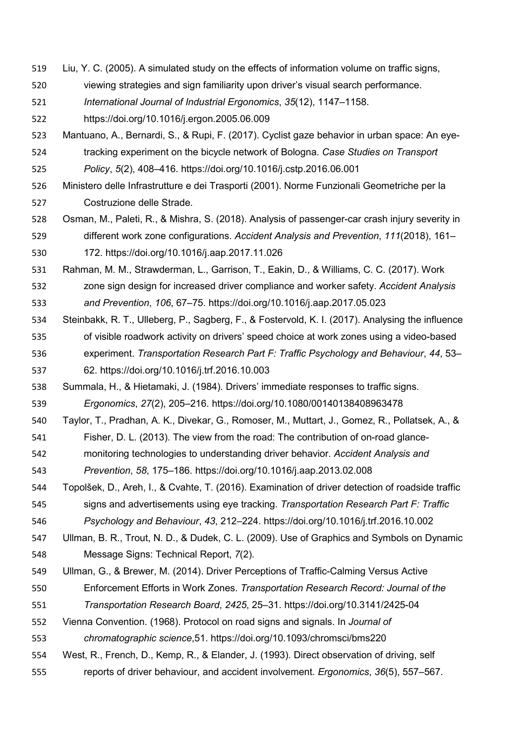- Liu, Y. C. (2005). A simulated study on the effects of information volume on traffic signs,
- viewing strategies and sign familiarity upon driver's visual search performance.
- *International Journal of Industrial Ergonomics*, *35*(12), 1147–1158.
- https://doi.org/10.1016/j.ergon.2005.06.009
- Mantuano, A., Bernardi, S., & Rupi, F. (2017). Cyclist gaze behavior in urban space: An eye-
- tracking experiment on the bicycle network of Bologna. *Case Studies on Transport Policy*, *5*(2), 408–416. https://doi.org/10.1016/j.cstp.2016.06.001
- Ministero delle Infrastrutture e dei Trasporti (2001). Norme Funzionali Geometriche per la Costruzione delle Strade.
- Osman, M., Paleti, R., & Mishra, S. (2018). Analysis of passenger-car crash injury severity in different work zone configurations. *Accident Analysis and Prevention*, *111*(2018), 161– 172. https://doi.org/10.1016/j.aap.2017.11.026
- Rahman, M. M., Strawderman, L., Garrison, T., Eakin, D., & Williams, C. C. (2017). Work
- zone sign design for increased driver compliance and worker safety. *Accident Analysis and Prevention*, *106*, 67–75. https://doi.org/10.1016/j.aap.2017.05.023
- Steinbakk, R. T., Ulleberg, P., Sagberg, F., & Fostervold, K. I. (2017). Analysing the influence of visible roadwork activity on drivers' speed choice at work zones using a video-based experiment. *Transportation Research Part F: Traffic Psychology and Behaviour*, *44*, 53– 62. https://doi.org/10.1016/j.trf.2016.10.003
- Summala, H., & Hietamaki, J. (1984). Drivers' immediate responses to traffic signs. *Ergonomics*, *27*(2), 205–216. https://doi.org/10.1080/00140138408963478
- Taylor, T., Pradhan, A. K., Divekar, G., Romoser, M., Muttart, J., Gomez, R., Pollatsek, A., &
- Fisher, D. L. (2013). The view from the road: The contribution of on-road glance-
- monitoring technologies to understanding driver behavior. *Accident Analysis and Prevention*, *58*, 175–186. https://doi.org/10.1016/j.aap.2013.02.008
- Topolšek, D., Areh, I., & Cvahte, T. (2016). Examination of driver detection of roadside traffic signs and advertisements using eye tracking. *Transportation Research Part F: Traffic*
- *Psychology and Behaviour*, *43*, 212–224. https://doi.org/10.1016/j.trf.2016.10.002
- Ullman, B. R., Trout, N. D., & Dudek, C. L. (2009). Use of Graphics and Symbols on Dynamic Message Signs: Technical Report, *7*(2).
- Ullman, G., & Brewer, M. (2014). Driver Perceptions of Traffic-Calming Versus Active
- Enforcement Efforts in Work Zones. *Transportation Research Record: Journal of the*
- *Transportation Research Board*, *2425*, 25–31. https://doi.org/10.3141/2425-04
- Vienna Convention. (1968). Protocol on road signs and signals. In *Journal of*
- *chromatographic science*,51. https://doi.org/10.1093/chromsci/bms220
- West, R., French, D., Kemp, R., & Elander, J. (1993). Direct observation of driving, self reports of driver behaviour, and accident involvement. *Ergonomics*, *36*(5), 557–567.